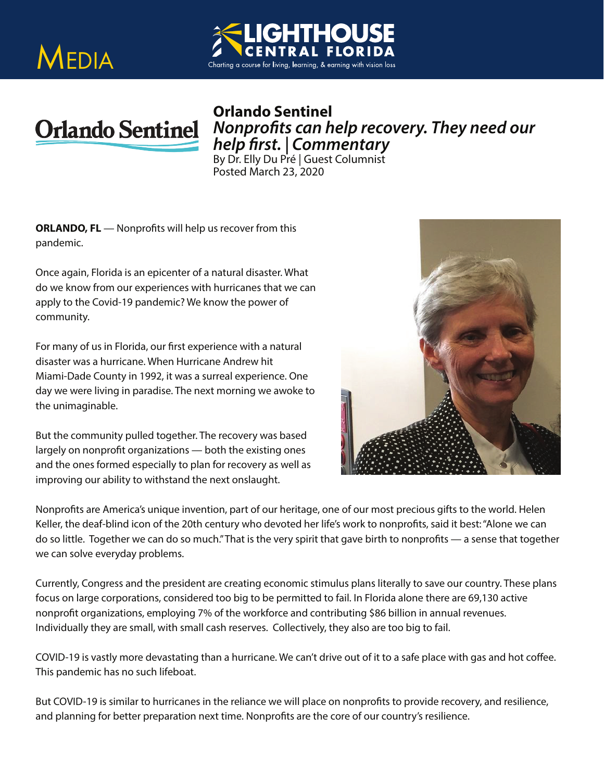





*Nonprofits can help recovery. They need our<br>help first. | Commentary<br>By Dr. Elly Du Pré | Guest Columnist* 

Posted March 23, 2020

**ORLANDO, FL** — Nonprofits will help us recover from this pandemic.

Once again, Florida is an epicenter of a natural disaster. What do we know from our experiences with hurricanes that we can apply to the Covid-19 pandemic? We know the power of community.

For many of us in Florida, our first experience with a natural disaster was a hurricane. When Hurricane Andrew hit Miami-Dade County in 1992, it was a surreal experience. One day we were living in paradise. The next morning we awoke to the unimaginable.

But the community pulled together. The recovery was based largely on nonprofit organizations — both the existing ones and the ones formed especially to plan for recovery as well as improving our ability to withstand the next onslaught.



Nonprofits are America's unique invention, part of our heritage, one of our most precious gifts to the world. Helen Keller, the deaf-blind icon of the 20th century who devoted her life's work to nonprofits, said it best: "Alone we can do so little. Together we can do so much." That is the very spirit that gave birth to nonprofits — a sense that together we can solve everyday problems.

Currently, Congress and the president are creating economic stimulus plans literally to save our country. These plans focus on large corporations, considered too big to be permitted to fail. In Florida alone there are 69,130 active nonprofit organizations, employing 7% of the workforce and contributing \$86 billion in annual revenues. Individually they are small, with small cash reserves. Collectively, they also are too big to fail.

COVID-19 is vastly more devastating than a hurricane. We can't drive out of it to a safe place with gas and hot coffee. This pandemic has no such lifeboat.

But COVID-19 is similar to hurricanes in the reliance we will place on nonprofits to provide recovery, and resilience, and planning for better preparation next time. Nonprofits are the core of our country's resilience.